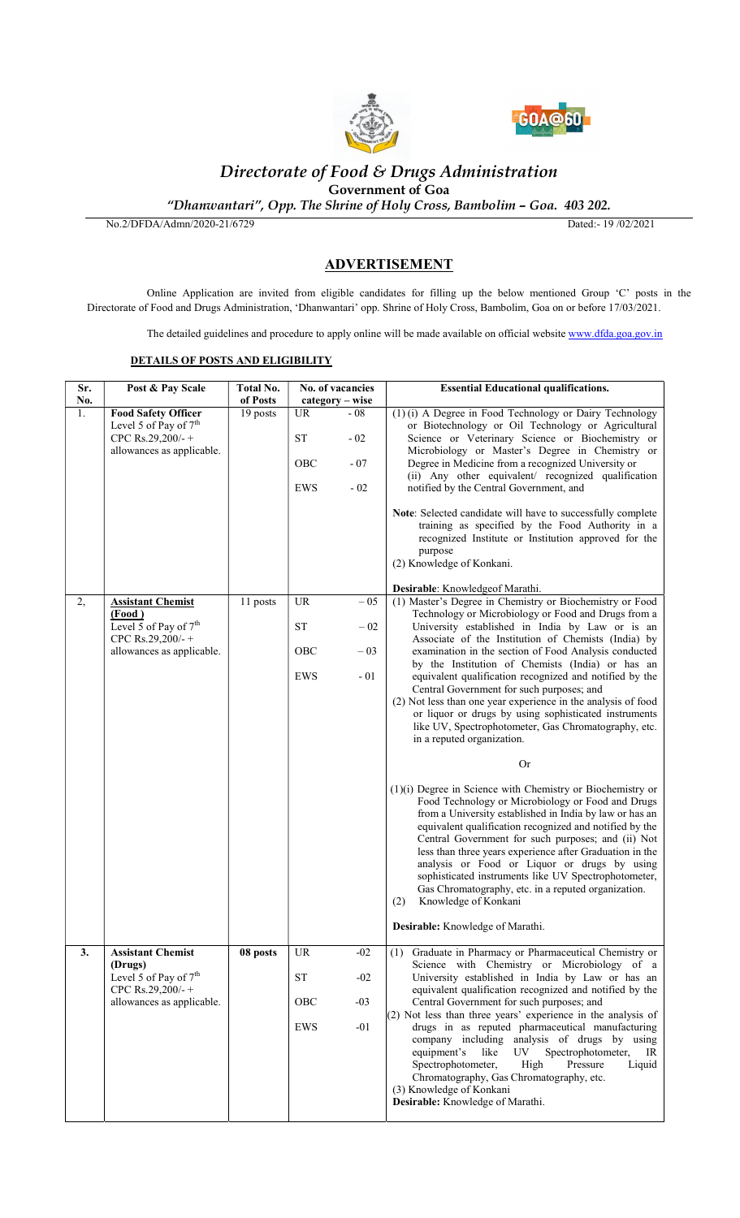



# Directorate of Food & Drugs Administration

Government of Goa

"Dhanwantari", Opp. The Shrine of Holy Cross, Bambolim – Goa. 403 202.

No.2/DFDA/Admn/2020-21/6729 Dated:- 19 /02/2021

# ADVERTISEMENT

Online Application are invited from eligible candidates for filling up the below mentioned Group 'C' posts in the Directorate of Food and Drugs Administration, 'Dhanwantari' opp. Shrine of Holy Cross, Bambolim, Goa on or before 17/03/2021.

The detailed guidelines and procedure to apply online will be made available on official website www.dfda.goa.gov.in

#### DETAILS OF POSTS AND ELIGIBILITY

| Sr.<br>No. | Post & Pay Scale                                                                                                  | Total No.<br>of Posts | No. of vacancies<br>category – wise                                      | <b>Essential Educational qualifications.</b>                                                                                                                                                                                                                                                                                                                                                                                                                                                                                                                                                                                                                       |
|------------|-------------------------------------------------------------------------------------------------------------------|-----------------------|--------------------------------------------------------------------------|--------------------------------------------------------------------------------------------------------------------------------------------------------------------------------------------------------------------------------------------------------------------------------------------------------------------------------------------------------------------------------------------------------------------------------------------------------------------------------------------------------------------------------------------------------------------------------------------------------------------------------------------------------------------|
| 1.         | <b>Food Safety Officer</b><br>Level 5 of Pay of 7 <sup>th</sup><br>CPC Rs.29,200/- +<br>allowances as applicable. | 19 posts              | <b>UR</b><br>$-08$<br><b>ST</b><br>$-02$<br>OBC<br>$-07$<br>$-02$<br>EWS | (1) (i) A Degree in Food Technology or Dairy Technology<br>or Biotechnology or Oil Technology or Agricultural<br>Science or Veterinary Science or Biochemistry or<br>Microbiology or Master's Degree in Chemistry or<br>Degree in Medicine from a recognized University or<br>(ii) Any other equivalent/ recognized qualification<br>notified by the Central Government, and<br>Note: Selected candidate will have to successfully complete<br>training as specified by the Food Authority in a                                                                                                                                                                    |
|            |                                                                                                                   |                       |                                                                          | recognized Institute or Institution approved for the<br>purpose<br>(2) Knowledge of Konkani.<br>Desirable: Knowledgeof Marathi.                                                                                                                                                                                                                                                                                                                                                                                                                                                                                                                                    |
| 2,         | <b>Assistant Chemist</b><br>(Food)<br>Level 5 of Pay of $7th$<br>CPC Rs.29,200/-+<br>allowances as applicable.    | 11 posts              | <b>UR</b><br>$-05$<br><b>ST</b><br>$-02$<br>OBC<br>$-03$<br>EWS<br>$-01$ | (1) Master's Degree in Chemistry or Biochemistry or Food<br>Technology or Microbiology or Food and Drugs from a<br>University established in India by Law or is an<br>Associate of the Institution of Chemists (India) by<br>examination in the section of Food Analysis conducted<br>by the Institution of Chemists (India) or has an<br>equivalent qualification recognized and notified by the<br>Central Government for such purposes; and<br>(2) Not less than one year experience in the analysis of food<br>or liquor or drugs by using sophisticated instruments<br>like UV, Spectrophotometer, Gas Chromatography, etc.                                   |
|            |                                                                                                                   |                       |                                                                          | in a reputed organization.<br><b>Or</b><br>(1)(i) Degree in Science with Chemistry or Biochemistry or<br>Food Technology or Microbiology or Food and Drugs<br>from a University established in India by law or has an<br>equivalent qualification recognized and notified by the<br>Central Government for such purposes; and (ii) Not<br>less than three years experience after Graduation in the<br>analysis or Food or Liquor or drugs by using                                                                                                                                                                                                                 |
|            |                                                                                                                   |                       |                                                                          | sophisticated instruments like UV Spectrophotometer,<br>Gas Chromatography, etc. in a reputed organization.<br>Knowledge of Konkani<br>(2)<br>Desirable: Knowledge of Marathi.                                                                                                                                                                                                                                                                                                                                                                                                                                                                                     |
| 3.         | <b>Assistant Chemist</b><br>(Drugs)<br>Level 5 of Pay of $7th$<br>CPC Rs.29,200/-+<br>allowances as applicable.   | 08 posts              | <b>UR</b><br>$-02$<br><b>ST</b><br>$-02$<br>OBC<br>$-03$<br>$-01$<br>EWS | Graduate in Pharmacy or Pharmaceutical Chemistry or<br>(1)<br>Science with Chemistry or Microbiology of a<br>University established in India by Law or has an<br>equivalent qualification recognized and notified by the<br>Central Government for such purposes; and<br>(2) Not less than three years' experience in the analysis of<br>drugs in as reputed pharmaceutical manufacturing<br>company including analysis of drugs by using<br>equipment's<br>like<br>UV<br>Spectrophotometer,<br>IR<br>High<br>Spectrophotometer,<br>Pressure<br>Liquid<br>Chromatography, Gas Chromatography, etc.<br>(3) Knowledge of Konkani<br>Desirable: Knowledge of Marathi. |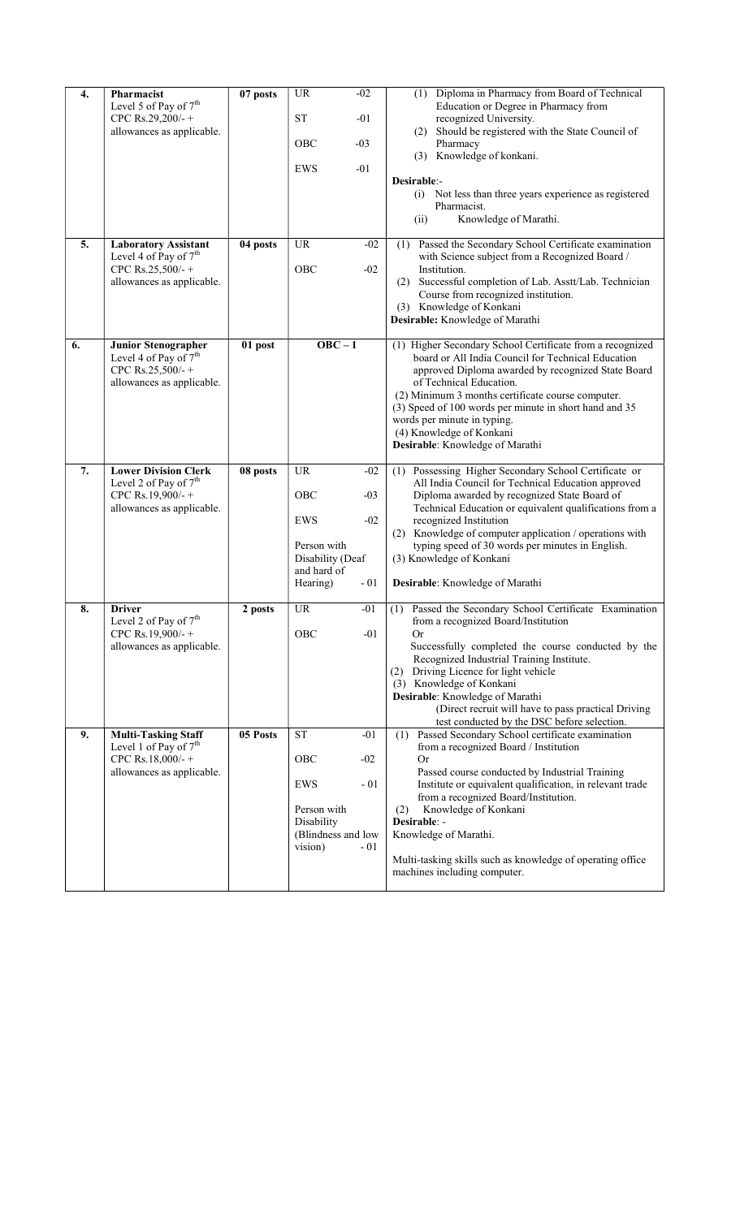| 4. | Pharmacist<br>Level 5 of Pay of 7 <sup>th</sup><br>CPC Rs.29,200/-+<br>allowances as applicable.                 | 07 posts | <b>UR</b><br>$-02$<br><b>ST</b><br>$-01$<br><b>OBC</b><br>$-03$<br>$-01$<br>EWS                                           | Diploma in Pharmacy from Board of Technical<br>(1)<br>Education or Degree in Pharmacy from<br>recognized University.<br>(2) Should be registered with the State Council of<br>Pharmacy<br>(3) Knowledge of konkani.                                                                                                                                                                                                                |
|----|------------------------------------------------------------------------------------------------------------------|----------|---------------------------------------------------------------------------------------------------------------------------|------------------------------------------------------------------------------------------------------------------------------------------------------------------------------------------------------------------------------------------------------------------------------------------------------------------------------------------------------------------------------------------------------------------------------------|
|    |                                                                                                                  |          |                                                                                                                           | Desirable:-<br>Not less than three years experience as registered<br>(i)<br>Pharmacist.<br>Knowledge of Marathi.<br>(ii)                                                                                                                                                                                                                                                                                                           |
| 5. | <b>Laboratory Assistant</b><br>Level 4 of Pay of $7th$<br>CPC Rs.25,500/-+<br>allowances as applicable.          | 04 posts | <b>UR</b><br>$-02$<br>OBC<br>$-02$                                                                                        | Passed the Secondary School Certificate examination<br>(1)<br>with Science subject from a Recognized Board /<br>Institution.<br>Successful completion of Lab. Asstt/Lab. Technician<br>(2)<br>Course from recognized institution.<br>(3) Knowledge of Konkani<br>Desirable: Knowledge of Marathi                                                                                                                                   |
| 6. | <b>Junior Stenographer</b><br>Level 4 of Pay of 7 <sup>th</sup><br>CPC Rs.25,500/-+<br>allowances as applicable. | 01 post  | $OBC - 1$                                                                                                                 | (1) Higher Secondary School Certificate from a recognized<br>board or All India Council for Technical Education<br>approved Diploma awarded by recognized State Board<br>of Technical Education.<br>(2) Minimum 3 months certificate course computer.<br>(3) Speed of 100 words per minute in short hand and 35<br>words per minute in typing.<br>(4) Knowledge of Konkani<br>Desirable: Knowledge of Marathi                      |
| 7. | <b>Lower Division Clerk</b><br>Level 2 of Pay of $7th$<br>CPC Rs.19,900/-+<br>allowances as applicable.          | 08 posts | <b>UR</b><br>$-02$<br>OBC<br>$-03$<br>EWS<br>$-02$<br>Person with<br>Disability (Deaf<br>and hard of<br>$-01$<br>Hearing) | Possessing Higher Secondary School Certificate or<br>(1)<br>All India Council for Technical Education approved<br>Diploma awarded by recognized State Board of<br>Technical Education or equivalent qualifications from a<br>recognized Institution<br>(2) Knowledge of computer application / operations with<br>typing speed of 30 words per minutes in English.<br>(3) Knowledge of Konkani<br>Desirable: Knowledge of Marathi  |
| 8. | <b>Driver</b><br>Level 2 of Pay of 7 <sup>th</sup><br>CPC Rs.19,900/-+<br>allowances as applicable.              | 2 posts  | <b>UR</b><br>$-01$<br>OBC<br>$-01$                                                                                        | Passed the Secondary School Certificate Examination<br>(1)<br>from a recognized Board/Institution<br><b>Or</b><br>Successfully completed the course conducted by the<br>Recognized Industrial Training Institute.<br>Driving Licence for light vehicle<br>(2)<br>(3) Knowledge of Konkani<br>Desirable: Knowledge of Marathi<br>(Direct recruit will have to pass practical Driving<br>test conducted by the DSC before selection. |
| 9. | <b>Multi-Tasking Staff</b><br>Level 1 of Pay of $7th$<br>CPC Rs.18,000/-+<br>allowances as applicable.           | 05 Posts | <b>ST</b><br>$-01$<br>OBC<br>$-02$<br>EWS<br>$-01$<br>Person with<br>Disability<br>(Blindness and low<br>vision)<br>$-01$ | Passed Secondary School certificate examination<br>(1)<br>from a recognized Board / Institution<br>0r<br>Passed course conducted by Industrial Training<br>Institute or equivalent qualification, in relevant trade<br>from a recognized Board/Institution.<br>Knowledge of Konkani<br>(2)<br>Desirable: -<br>Knowledge of Marathi.<br>Multi-tasking skills such as knowledge of operating office<br>machines including computer.  |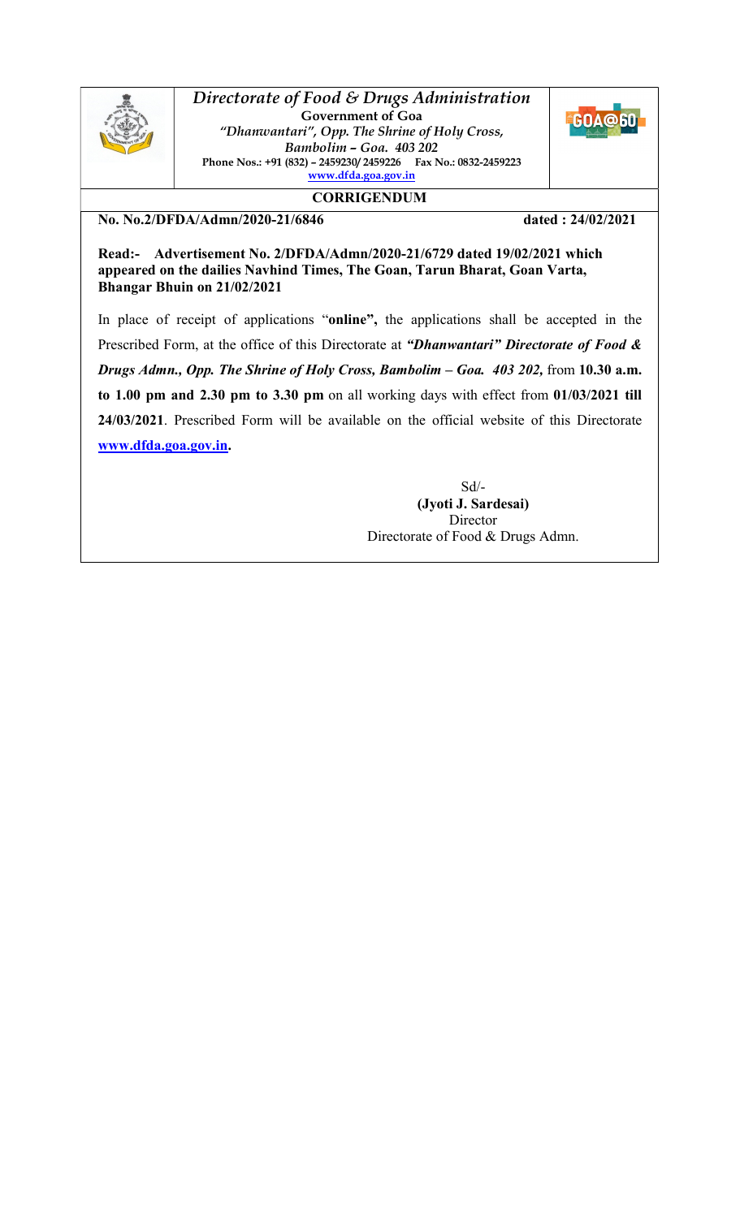

Directorate of Food & Drugs Administration Government of Goa "Dhanwantari", Opp. The Shrine of Holy Cross, Bambolim – Goa. 403 202 Phone Nos.: +91 (832) – 2459230/ 2459226 Fax No.: 0832-2459223 www.dfda.goa.gov.in



**CORRIGENDUM** 

No. No.2/DFDA/Admn/2020-21/6846 dated : 24/02/2021

Read:- Advertisement No. 2/DFDA/Admn/2020-21/6729 dated 19/02/2021 which appeared on the dailies Navhind Times, The Goan, Tarun Bharat, Goan Varta, Bhangar Bhuin on 21/02/2021

In place of receipt of applications "online", the applications shall be accepted in the Prescribed Form, at the office of this Directorate at "Dhanwantari" Directorate of Food & Drugs Admn., Opp. The Shrine of Holy Cross, Bambolim – Goa. 403 202, from 10.30 a.m. to 1.00 pm and 2.30 pm to 3.30 pm on all working days with effect from 01/03/2021 till 24/03/2021. Prescribed Form will be available on the official website of this Directorate www.dfda.goa.gov.in.

> Sd/- (Jyoti J. Sardesai) **Director** Directorate of Food & Drugs Admn.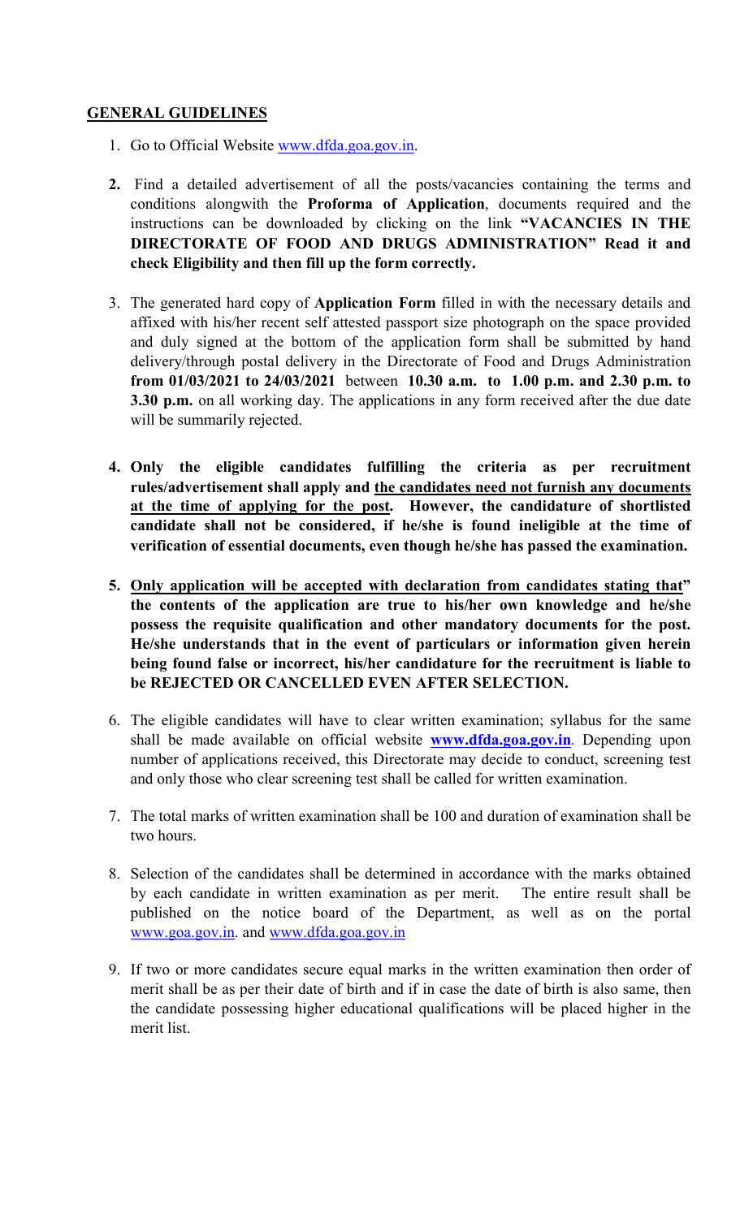## GENERAL GUIDELINES

- 1. Go to Official Website www.dfda.goa.gov.in.
- 2. Find a detailed advertisement of all the posts/vacancies containing the terms and conditions alongwith the Proforma of Application, documents required and the instructions can be downloaded by clicking on the link "VACANCIES IN THE DIRECTORATE OF FOOD AND DRUGS ADMINISTRATION" Read it and check Eligibility and then fill up the form correctly.
- 3. The generated hard copy of Application Form filled in with the necessary details and affixed with his/her recent self attested passport size photograph on the space provided and duly signed at the bottom of the application form shall be submitted by hand delivery/through postal delivery in the Directorate of Food and Drugs Administration from 01/03/2021 to 24/03/2021 between 10.30 a.m. to 1.00 p.m. and 2.30 p.m. to 3.30 p.m. on all working day. The applications in any form received after the due date will be summarily rejected.
- 4. Only the eligible candidates fulfilling the criteria as per recruitment rules/advertisement shall apply and the candidates need not furnish any documents at the time of applying for the post. However, the candidature of shortlisted candidate shall not be considered, if he/she is found ineligible at the time of verification of essential documents, even though he/she has passed the examination.
- 5. Only application will be accepted with declaration from candidates stating that" the contents of the application are true to his/her own knowledge and he/she possess the requisite qualification and other mandatory documents for the post. He/she understands that in the event of particulars or information given herein being found false or incorrect, his/her candidature for the recruitment is liable to be REJECTED OR CANCELLED EVEN AFTER SELECTION.
- 6. The eligible candidates will have to clear written examination; syllabus for the same shall be made available on official website www.dfda.goa.gov.in. Depending upon number of applications received, this Directorate may decide to conduct, screening test and only those who clear screening test shall be called for written examination.
- 7. The total marks of written examination shall be 100 and duration of examination shall be two hours.
- 8. Selection of the candidates shall be determined in accordance with the marks obtained by each candidate in written examination as per merit. The entire result shall be published on the notice board of the Department, as well as on the portal www.goa.gov.in. and www.dfda.goa.gov.in
- 9. If two or more candidates secure equal marks in the written examination then order of merit shall be as per their date of birth and if in case the date of birth is also same, then the candidate possessing higher educational qualifications will be placed higher in the merit list.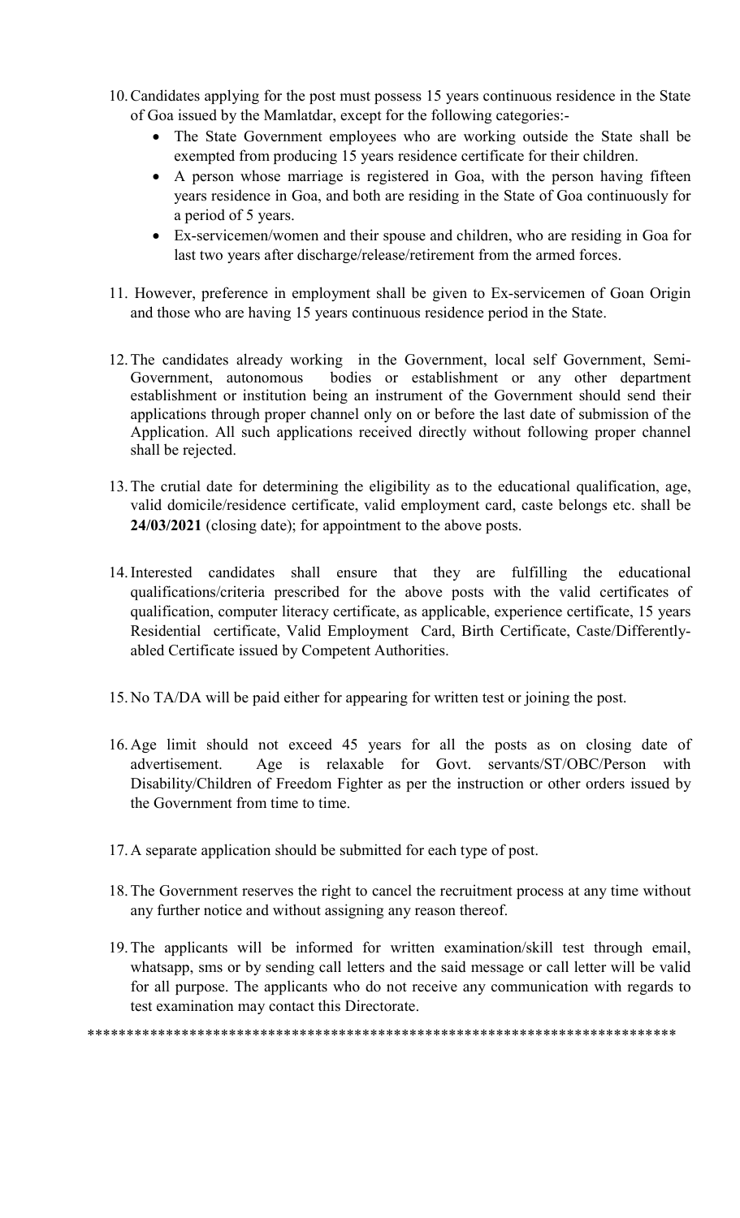- 10.Candidates applying for the post must possess 15 years continuous residence in the State of Goa issued by the Mamlatdar, except for the following categories:-
	- The State Government employees who are working outside the State shall be exempted from producing 15 years residence certificate for their children.
	- A person whose marriage is registered in Goa, with the person having fifteen years residence in Goa, and both are residing in the State of Goa continuously for a period of 5 years.
	- Ex-servicemen/women and their spouse and children, who are residing in Goa for last two years after discharge/release/retirement from the armed forces.
- 11. However, preference in employment shall be given to Ex-servicemen of Goan Origin and those who are having 15 years continuous residence period in the State.
- 12.The candidates already working in the Government, local self Government, Semi-Government, autonomous bodies or establishment or any other department establishment or institution being an instrument of the Government should send their applications through proper channel only on or before the last date of submission of the Application. All such applications received directly without following proper channel shall be rejected.
- 13.The crutial date for determining the eligibility as to the educational qualification, age, valid domicile/residence certificate, valid employment card, caste belongs etc. shall be 24/03/2021 (closing date); for appointment to the above posts.
- 14.Interested candidates shall ensure that they are fulfilling the educational qualifications/criteria prescribed for the above posts with the valid certificates of qualification, computer literacy certificate, as applicable, experience certificate, 15 years Residential certificate, Valid Employment Card, Birth Certificate, Caste/Differentlyabled Certificate issued by Competent Authorities.
- 15.No TA/DA will be paid either for appearing for written test or joining the post.
- 16.Age limit should not exceed 45 years for all the posts as on closing date of advertisement. Age is relaxable for Govt. servants/ST/OBC/Person with Disability/Children of Freedom Fighter as per the instruction or other orders issued by the Government from time to time.
- 17.A separate application should be submitted for each type of post.
- 18.The Government reserves the right to cancel the recruitment process at any time without any further notice and without assigning any reason thereof.
- 19.The applicants will be informed for written examination/skill test through email, whatsapp, sms or by sending call letters and the said message or call letter will be valid for all purpose. The applicants who do not receive any communication with regards to test examination may contact this Directorate.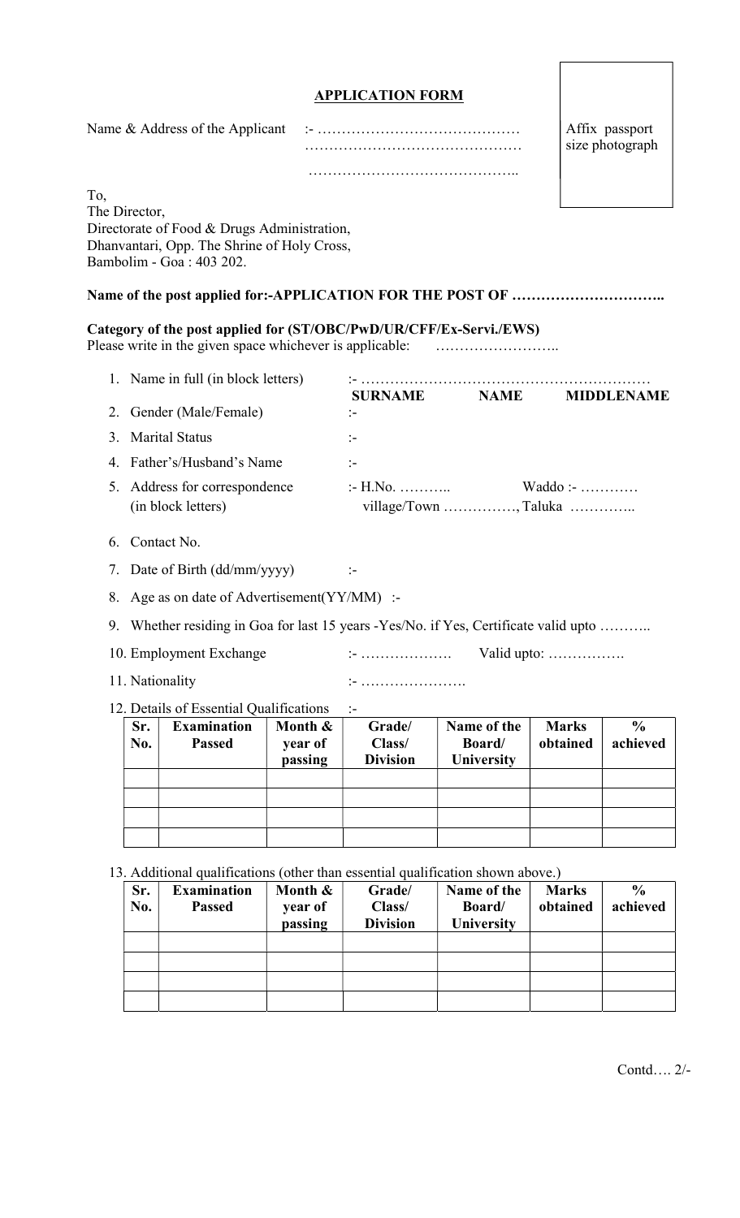|                      |                                                  |                                                                                                                        |                               | <b>APPLICATION FORM</b>                   |                                            |                                   |                           |
|----------------------|--------------------------------------------------|------------------------------------------------------------------------------------------------------------------------|-------------------------------|-------------------------------------------|--------------------------------------------|-----------------------------------|---------------------------|
|                      |                                                  |                                                                                                                        |                               |                                           |                                            | Affix passport<br>size photograph |                           |
|                      |                                                  |                                                                                                                        |                               |                                           |                                            |                                   |                           |
| To,<br>The Director, |                                                  | Directorate of Food & Drugs Administration,<br>Dhanvantari, Opp. The Shrine of Holy Cross,<br>Bambolim - Goa: 403 202. |                               |                                           |                                            |                                   |                           |
|                      |                                                  |                                                                                                                        |                               |                                           |                                            |                                   |                           |
|                      |                                                  | Category of the post applied for (ST/OBC/PwD/UR/CFF/Ex-Servi./EWS)                                                     |                               |                                           |                                            |                                   |                           |
|                      |                                                  | 1. Name in full (in block letters)                                                                                     |                               |                                           | SURNAME NAME MIDDLENAME                    |                                   |                           |
|                      |                                                  | 2. Gender (Male/Female)                                                                                                |                               | :-                                        |                                            |                                   |                           |
|                      |                                                  | 3. Marital Status                                                                                                      |                               | $:-$                                      |                                            |                                   |                           |
| 4.                   |                                                  | Father's/Husband's Name                                                                                                |                               | $\mathbf{I}$                              |                                            |                                   |                           |
| 5.                   | Address for correspondence<br>(in block letters) |                                                                                                                        |                               | $H.No.$ $Waddo:$<br>village/Town , Taluka |                                            |                                   |                           |
| 6.                   |                                                  | Contact No.                                                                                                            |                               |                                           |                                            |                                   |                           |
|                      |                                                  | 7. Date of Birth (dd/mm/yyyy)                                                                                          |                               |                                           |                                            |                                   |                           |
|                      |                                                  | 8. Age as on date of Advertisement (YY/MM) :-                                                                          |                               |                                           |                                            |                                   |                           |
| 9.                   |                                                  | Whether residing in Goa for last 15 years -Yes/No. if Yes, Certificate valid upto.                                     |                               |                                           |                                            |                                   |                           |
|                      |                                                  | 10. Employment Exchange                                                                                                |                               |                                           |                                            | Valid upto:                       |                           |
|                      |                                                  | 11. Nationality                                                                                                        |                               |                                           |                                            |                                   |                           |
|                      |                                                  | 12. Details of Essential Qualifications                                                                                |                               | $\mathbf{I}$                              |                                            |                                   |                           |
|                      | Sr.<br>No.                                       | <b>Examination</b><br><b>Passed</b>                                                                                    | Month &<br>year of<br>passing | Grade/<br>Class/<br><b>Division</b>       | Name of the<br>Board/<br>University        | <b>Marks</b><br>obtained          | $\frac{6}{6}$<br>achieved |
|                      |                                                  |                                                                                                                        |                               |                                           |                                            |                                   |                           |
|                      |                                                  | 13. Additional qualifications (other than essential qualification shown above.)                                        |                               |                                           |                                            |                                   |                           |
|                      | Sr.<br>No.                                       | <b>Examination</b><br><b>Passed</b>                                                                                    | Month &<br>year of<br>passing | Grade/<br>Class/<br><b>Division</b>       | Name of the<br>Board/<br><b>University</b> | <b>Marks</b><br>obtained          | $\frac{6}{6}$<br>achieved |
|                      |                                                  |                                                                                                                        |                               |                                           |                                            |                                   |                           |

Contd…. 2/-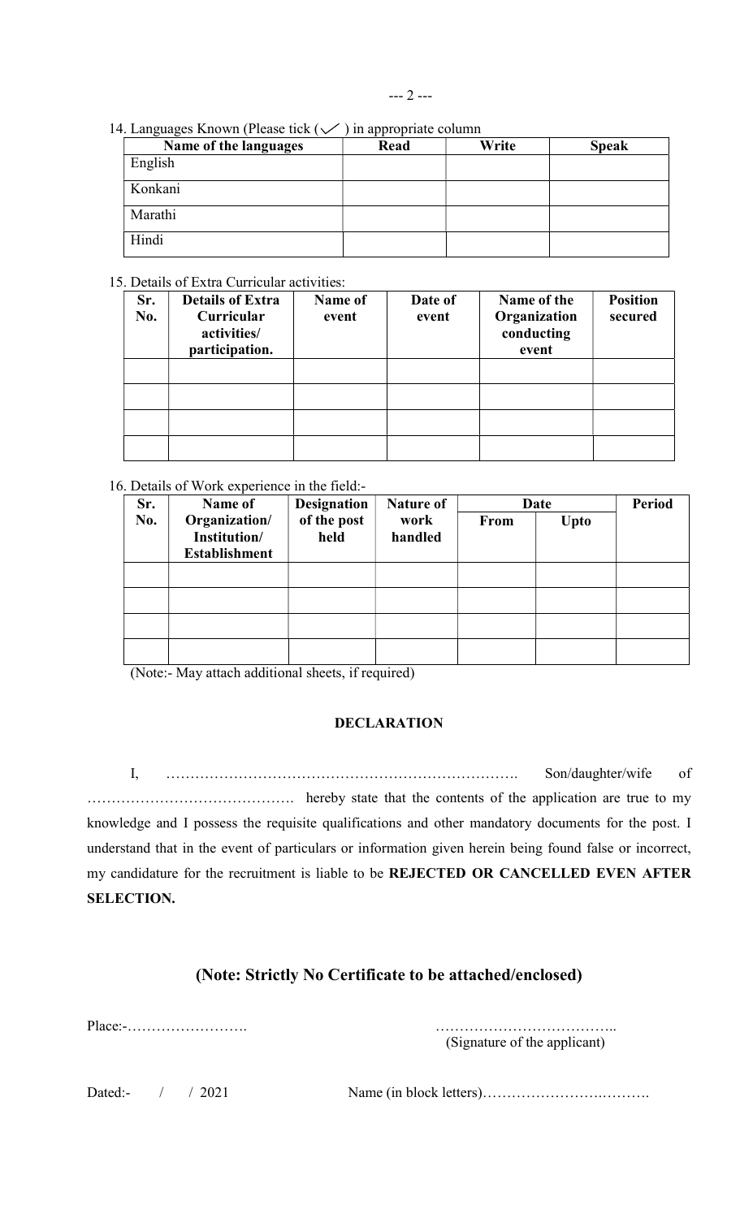| 14. Languages Known (Please tick $(\vee)$ in appropriate column |  |  |
|-----------------------------------------------------------------|--|--|
|-----------------------------------------------------------------|--|--|

| $\circ$ $\circ$<br>Name of the languages | Read | Write | <b>Speak</b> |
|------------------------------------------|------|-------|--------------|
| English                                  |      |       |              |
| Konkani                                  |      |       |              |
| Marathi                                  |      |       |              |
| Hindi                                    |      |       |              |

## 15. Details of Extra Curricular activities:

|     | Deans of Eaua Caffedaia actrice.            |         |         |                                     |                 |
|-----|---------------------------------------------|---------|---------|-------------------------------------|-----------------|
| Sr. | <b>Details of Extra</b>                     | Name of | Date of | Name of the                         | <b>Position</b> |
| No. | Curricular<br>activities/<br>participation. | event   | event   | Organization<br>conducting<br>event | secured         |
|     |                                             |         |         |                                     |                 |
|     |                                             |         |         |                                     |                 |
|     |                                             |         |         |                                     |                 |
|     |                                             |         |         |                                     |                 |

## 16. Details of Work experience in the field:-

| Sr. | Name of                                               | <b>Designation</b>  | <b>Nature of</b> |             | Date | <b>Period</b> |
|-----|-------------------------------------------------------|---------------------|------------------|-------------|------|---------------|
| No. | Organization/<br>Institution/<br><b>Establishment</b> | of the post<br>held | work<br>handled  | <b>From</b> | Upto |               |
|     |                                                       |                     |                  |             |      |               |
|     |                                                       |                     |                  |             |      |               |
|     |                                                       |                     |                  |             |      |               |
|     |                                                       |                     |                  |             |      |               |

(Note:- May attach additional sheets, if required)

## DECLARATION

I, ………………………………………………………………. Son/daughter/wife of ……………………………………. hereby state that the contents of the application are true to my knowledge and I possess the requisite qualifications and other mandatory documents for the post. I understand that in the event of particulars or information given herein being found false or incorrect, my candidature for the recruitment is liable to be REJECTED OR CANCELLED EVEN AFTER SELECTION.

# (Note: Strictly No Certificate to be attached/enclosed)

Place:-……………………. ………………………………..

(Signature of the applicant)

Dated:- / / 2021 Name (in block letters)…………………….……….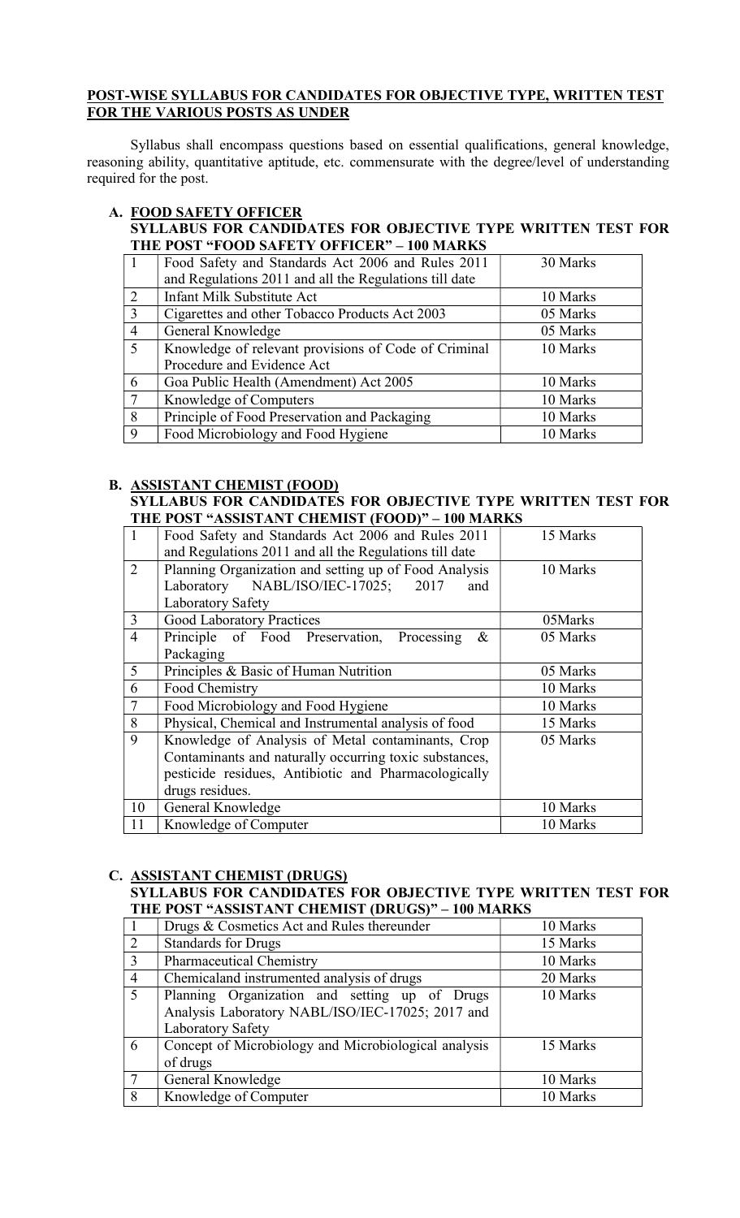## POST-WISE SYLLABUS FOR CANDIDATES FOR OBJECTIVE TYPE, WRITTEN TEST FOR THE VARIOUS POSTS AS UNDER

Syllabus shall encompass questions based on essential qualifications, general knowledge, reasoning ability, quantitative aptitude, etc. commensurate with the degree/level of understanding required for the post.

## A. FOOD SAFETY OFFICER

## SYLLABUS FOR CANDIDATES FOR OBJECTIVE TYPE WRITTEN TEST FOR THE POST "FOOD SAFETY OFFICER" – 100 MARKS

|                | Food Safety and Standards Act 2006 and Rules 2011      | 30 Marks |
|----------------|--------------------------------------------------------|----------|
|                | and Regulations 2011 and all the Regulations till date |          |
| 2              | <b>Infant Milk Substitute Act</b>                      | 10 Marks |
| $\overline{3}$ | Cigarettes and other Tobacco Products Act 2003         | 05 Marks |
| $\overline{4}$ | General Knowledge                                      | 05 Marks |
| $\overline{5}$ | Knowledge of relevant provisions of Code of Criminal   | 10 Marks |
|                | Procedure and Evidence Act                             |          |
| 6              | Goa Public Health (Amendment) Act 2005                 | 10 Marks |
| $\overline{7}$ | Knowledge of Computers                                 | 10 Marks |
| 8              | Principle of Food Preservation and Packaging           | 10 Marks |
| 9              | Food Microbiology and Food Hygiene                     | 10 Marks |

# B. ASSISTANT CHEMIST (FOOD)

## SYLLABUS FOR CANDIDATES FOR OBJECTIVE TYPE WRITTEN TEST FOR THE POST "ASSISTANT CHEMIST (FOOD)" – 100 MARKS

| $\mathbf{1}$   | Food Safety and Standards Act 2006 and Rules 2011      | 15 Marks |
|----------------|--------------------------------------------------------|----------|
|                | and Regulations 2011 and all the Regulations till date |          |
| $\overline{2}$ | Planning Organization and setting up of Food Analysis  | 10 Marks |
|                | Laboratory NABL/ISO/IEC-17025; 2017<br>and             |          |
|                | Laboratory Safety                                      |          |
| 3              | <b>Good Laboratory Practices</b>                       | 05Marks  |
| $\overline{4}$ | Principle of Food Preservation,<br>&<br>Processing     | 05 Marks |
|                | Packaging                                              |          |
| 5              | Principles & Basic of Human Nutrition                  | 05 Marks |
| 6              | Food Chemistry                                         | 10 Marks |
| $\tau$         | Food Microbiology and Food Hygiene                     | 10 Marks |
| 8              | Physical, Chemical and Instrumental analysis of food   | 15 Marks |
| 9              | Knowledge of Analysis of Metal contaminants, Crop      | 05 Marks |
|                | Contaminants and naturally occurring toxic substances, |          |
|                | pesticide residues, Antibiotic and Pharmacologically   |          |
|                | drugs residues.                                        |          |
| 10             | General Knowledge                                      | 10 Marks |
| 11             | Knowledge of Computer                                  | 10 Marks |

## C. ASSISTANT CHEMIST (DRUGS)

## SYLLABUS FOR CANDIDATES FOR OBJECTIVE TYPE WRITTEN TEST FOR THE POST "ASSISTANT CHEMIST (DRUGS)" – 100 MARKS

|                | Drugs & Cosmetics Act and Rules thereunder           | 10 Marks |
|----------------|------------------------------------------------------|----------|
| 2              | <b>Standards for Drugs</b>                           | 15 Marks |
| 3              | <b>Pharmaceutical Chemistry</b>                      | 10 Marks |
| $\overline{4}$ | Chemicaland instrumented analysis of drugs           | 20 Marks |
| 5              | Planning Organization and setting up of Drugs        | 10 Marks |
|                | Analysis Laboratory NABL/ISO/IEC-17025; 2017 and     |          |
|                | Laboratory Safety                                    |          |
| 6              | Concept of Microbiology and Microbiological analysis | 15 Marks |
|                | of drugs                                             |          |
| 7              | General Knowledge                                    | 10 Marks |
| 8              | Knowledge of Computer                                | 10 Marks |